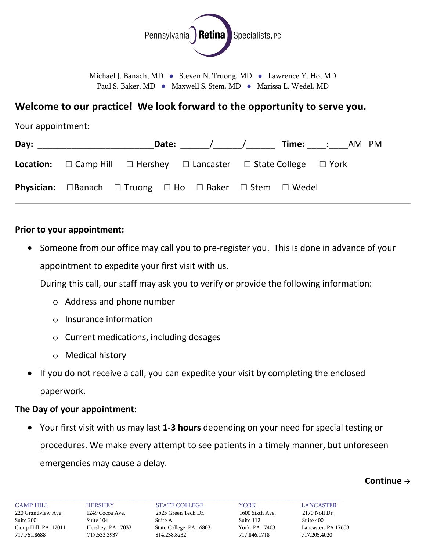

Michael J. Banach, MD · Steven N. Truong, MD · Lawrence Y. Ho, MD Paul S. Baker, MD · Maxwell S. Stem, MD · Marissa L. Wedel, MD

## **Welcome to our practice! We look forward to the opportunity to serve you.**

Your appointment:

| Day: ________________________                                                                      |  |  | _Date: ________/_______/________ Time: _____: _____AM PM |  |
|----------------------------------------------------------------------------------------------------|--|--|----------------------------------------------------------|--|
| <b>Location:</b> $\Box$ Camp Hill $\Box$ Hershey $\Box$ Lancaster $\Box$ State College $\Box$ York |  |  |                                                          |  |
| <b>Physician:</b> $\Box$ Banach $\Box$ Truong $\Box$ Ho $\Box$ Baker $\Box$ Stem $\Box$ Wedel      |  |  |                                                          |  |

#### **Prior to your appointment:**

• Someone from our office may call you to pre-register you. This is done in advance of your appointment to expedite your first visit with us.

During this call, our staff may ask you to verify or provide the following information:

- o Address and phone number
- o Insurance information
- o Current medications, including dosages
- o Medical history
- If you do not receive a call, you can expedite your visit by completing the enclosed paperwork.

#### **The Day of your appointment:**

• Your first visit with us may last **1-3 hours** depending on your need for special testing or procedures. We make every attempt to see patients in a timely manner, but unforeseen emergencies may cause a delay.

#### **Continue**

\_\_\_\_\_\_\_\_\_\_\_\_\_\_\_\_\_\_\_\_\_\_\_\_\_\_\_\_\_\_\_\_\_\_\_\_\_\_\_\_\_\_\_\_\_\_\_\_\_\_\_\_\_\_\_\_\_\_\_\_\_\_\_\_\_\_\_\_\_\_\_\_\_\_\_\_\_\_\_\_\_\_\_\_\_\_\_\_\_\_\_\_\_\_\_\_

CAMP HILL HERSHEY STATE COLLEGE YORK LANCASTER 220 Grandview Ave. 1249 Cocoa Ave. 2525 Green Tech Dr. 1600 Sixth Ave. 2170 Noll Dr. Suite 200 Suite 104 Suite A Suite 112 Suite 400 Camp Hill, PA 17011 Hershey, PA 17033 State College, PA 16803 York, PA 17403 Lancaster, PA 17603 717.761.8688 717.533.3937 814.238.8232 717.846.1718 717.205.4020